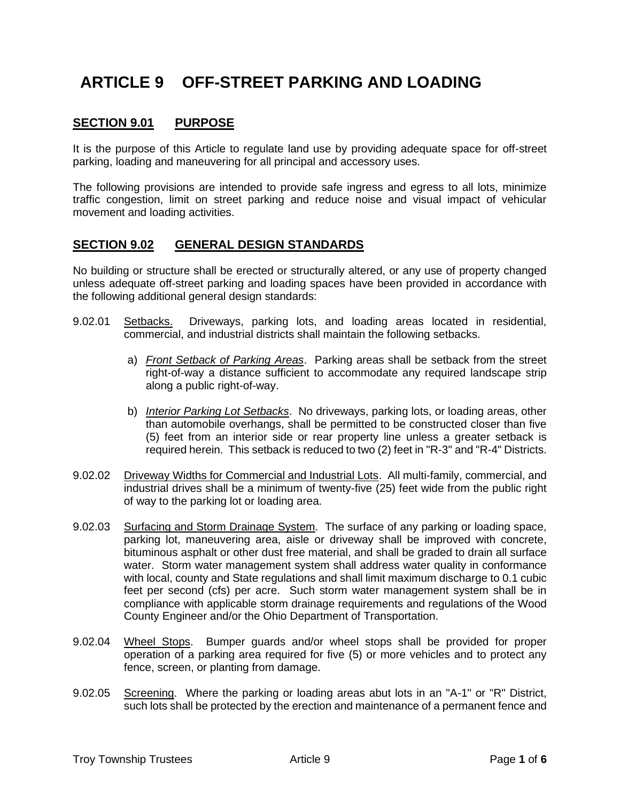# **ARTICLE 9 OFF-STREET PARKING AND LOADING**

# **SECTION 9.01 PURPOSE**

It is the purpose of this Article to regulate land use by providing adequate space for off-street parking, loading and maneuvering for all principal and accessory uses.

The following provisions are intended to provide safe ingress and egress to all lots, minimize traffic congestion, limit on street parking and reduce noise and visual impact of vehicular movement and loading activities.

# **SECTION 9.02 GENERAL DESIGN STANDARDS**

No building or structure shall be erected or structurally altered, or any use of property changed unless adequate off-street parking and loading spaces have been provided in accordance with the following additional general design standards:

- 9.02.01 Setbacks. Driveways, parking lots, and loading areas located in residential, commercial, and industrial districts shall maintain the following setbacks.
	- a) *Front Setback of Parking Areas*. Parking areas shall be setback from the street right-of-way a distance sufficient to accommodate any required landscape strip along a public right-of-way.
	- b) *Interior Parking Lot Setbacks*. No driveways, parking lots, or loading areas, other than automobile overhangs, shall be permitted to be constructed closer than five (5) feet from an interior side or rear property line unless a greater setback is required herein. This setback is reduced to two (2) feet in "R-3" and "R-4" Districts.
- 9.02.02 Driveway Widths for Commercial and Industrial Lots. All multi-family, commercial, and industrial drives shall be a minimum of twenty-five (25) feet wide from the public right of way to the parking lot or loading area.
- 9.02.03 Surfacing and Storm Drainage System. The surface of any parking or loading space, parking lot, maneuvering area, aisle or driveway shall be improved with concrete, bituminous asphalt or other dust free material, and shall be graded to drain all surface water. Storm water management system shall address water quality in conformance with local, county and State regulations and shall limit maximum discharge to 0.1 cubic feet per second (cfs) per acre. Such storm water management system shall be in compliance with applicable storm drainage requirements and regulations of the Wood County Engineer and/or the Ohio Department of Transportation.
- 9.02.04 Wheel Stops. Bumper guards and/or wheel stops shall be provided for proper operation of a parking area required for five (5) or more vehicles and to protect any fence, screen, or planting from damage.
- 9.02.05 Screening. Where the parking or loading areas abut lots in an "A-1" or "R" District, such lots shall be protected by the erection and maintenance of a permanent fence and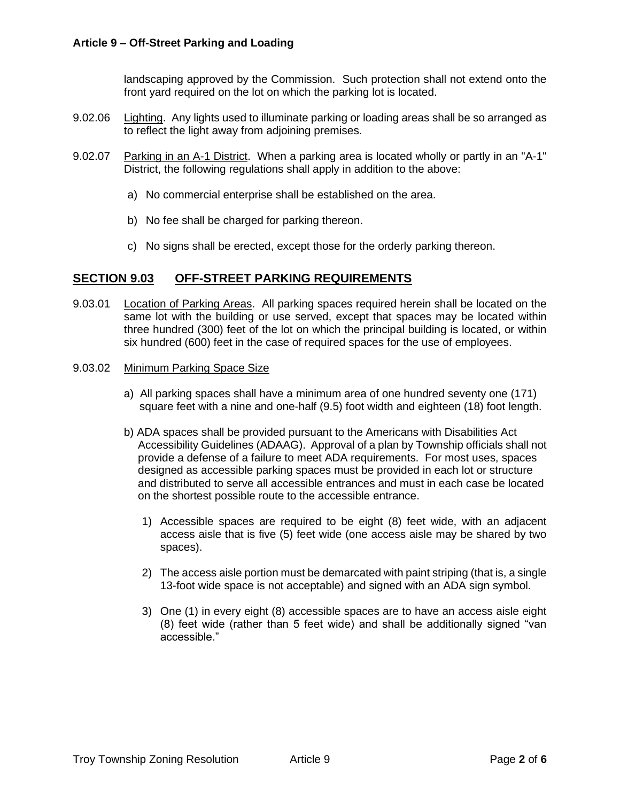landscaping approved by the Commission. Such protection shall not extend onto the front yard required on the lot on which the parking lot is located.

- 9.02.06 Lighting. Any lights used to illuminate parking or loading areas shall be so arranged as to reflect the light away from adjoining premises.
- 9.02.07 Parking in an A-1 District. When a parking area is located wholly or partly in an "A-1" District, the following regulations shall apply in addition to the above:
	- a) No commercial enterprise shall be established on the area.
	- b) No fee shall be charged for parking thereon.
	- c) No signs shall be erected, except those for the orderly parking thereon.

# **SECTION 9.03 OFF-STREET PARKING REQUIREMENTS**

9.03.01 Location of Parking Areas. All parking spaces required herein shall be located on the same lot with the building or use served, except that spaces may be located within three hundred (300) feet of the lot on which the principal building is located, or within six hundred (600) feet in the case of required spaces for the use of employees.

#### 9.03.02 Minimum Parking Space Size

- a) All parking spaces shall have a minimum area of one hundred seventy one (171) square feet with a nine and one-half (9.5) foot width and eighteen (18) foot length.
- b) ADA spaces shall be provided pursuant to the Americans with Disabilities Act Accessibility Guidelines (ADAAG). Approval of a plan by Township officials shall not provide a defense of a failure to meet ADA requirements. For most uses, spaces designed as accessible parking spaces must be provided in each lot or structure and distributed to serve all accessible entrances and must in each case be located on the shortest possible route to the accessible entrance.
	- 1) Accessible spaces are required to be eight (8) feet wide, with an adjacent access aisle that is five (5) feet wide (one access aisle may be shared by two spaces).
	- 2) The access aisle portion must be demarcated with paint striping (that is, a single 13-foot wide space is not acceptable) and signed with an ADA sign symbol.
	- 3) One (1) in every eight (8) accessible spaces are to have an access aisle eight (8) feet wide (rather than 5 feet wide) and shall be additionally signed "van accessible."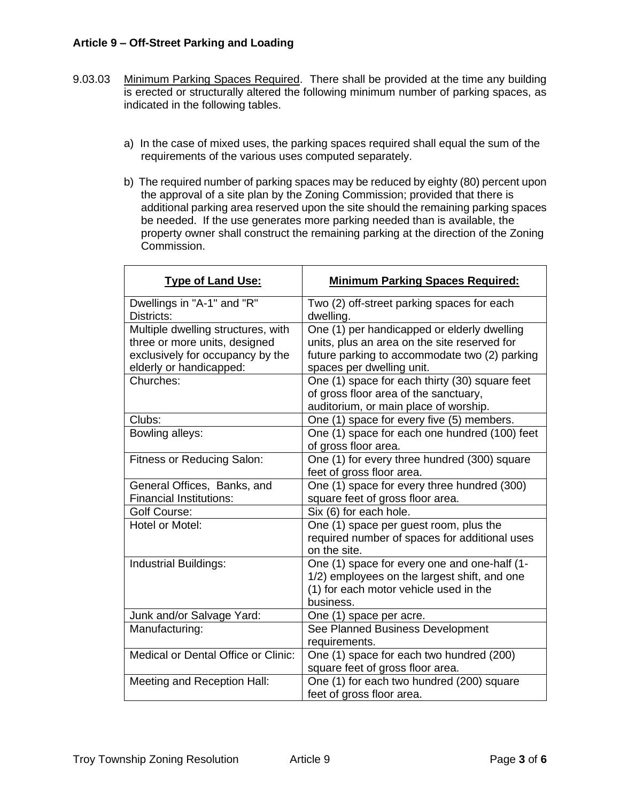- 9.03.03 Minimum Parking Spaces Required. There shall be provided at the time any building is erected or structurally altered the following minimum number of parking spaces, as indicated in the following tables.
	- a) In the case of mixed uses, the parking spaces required shall equal the sum of the requirements of the various uses computed separately.
	- b) The required number of parking spaces may be reduced by eighty (80) percent upon the approval of a site plan by the Zoning Commission; provided that there is additional parking area reserved upon the site should the remaining parking spaces be needed. If the use generates more parking needed than is available, the property owner shall construct the remaining parking at the direction of the Zoning Commission.

| <b>Type of Land Use:</b>                                                                                                           | <b>Minimum Parking Spaces Required:</b>                                                                                                                                   |
|------------------------------------------------------------------------------------------------------------------------------------|---------------------------------------------------------------------------------------------------------------------------------------------------------------------------|
| Dwellings in "A-1" and "R"<br>Districts:                                                                                           | Two (2) off-street parking spaces for each<br>dwelling.                                                                                                                   |
| Multiple dwelling structures, with<br>three or more units, designed<br>exclusively for occupancy by the<br>elderly or handicapped: | One (1) per handicapped or elderly dwelling<br>units, plus an area on the site reserved for<br>future parking to accommodate two (2) parking<br>spaces per dwelling unit. |
| Churches:                                                                                                                          | One (1) space for each thirty (30) square feet<br>of gross floor area of the sanctuary,<br>auditorium, or main place of worship.                                          |
| Clubs:                                                                                                                             | One (1) space for every five (5) members.                                                                                                                                 |
| Bowling alleys:                                                                                                                    | One (1) space for each one hundred (100) feet<br>of gross floor area.                                                                                                     |
| Fitness or Reducing Salon:                                                                                                         | One (1) for every three hundred (300) square<br>feet of gross floor area.                                                                                                 |
| General Offices, Banks, and<br><b>Financial Institutions:</b>                                                                      | One (1) space for every three hundred (300)<br>square feet of gross floor area.                                                                                           |
| <b>Golf Course:</b>                                                                                                                | Six (6) for each hole.                                                                                                                                                    |
| Hotel or Motel:                                                                                                                    | One (1) space per guest room, plus the<br>required number of spaces for additional uses<br>on the site.                                                                   |
| <b>Industrial Buildings:</b>                                                                                                       | One (1) space for every one and one-half (1-<br>1/2) employees on the largest shift, and one<br>(1) for each motor vehicle used in the<br>business.                       |
| Junk and/or Salvage Yard:                                                                                                          | One (1) space per acre.                                                                                                                                                   |
| Manufacturing:                                                                                                                     | See Planned Business Development<br>requirements.                                                                                                                         |
| <b>Medical or Dental Office or Clinic:</b>                                                                                         | One (1) space for each two hundred (200)<br>square feet of gross floor area.                                                                                              |
| Meeting and Reception Hall:                                                                                                        | One (1) for each two hundred (200) square<br>feet of gross floor area.                                                                                                    |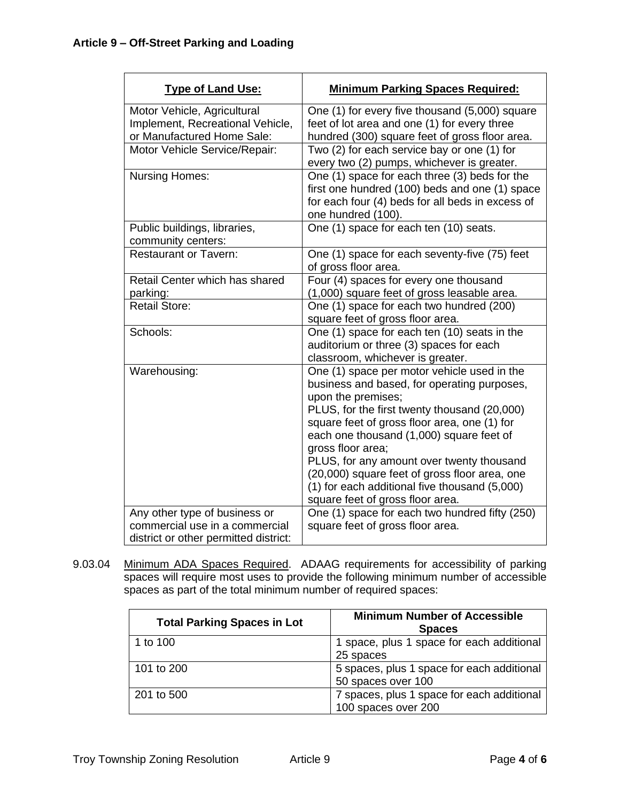| <b>Type of Land Use:</b>                                                                                 | <b>Minimum Parking Spaces Required:</b>                                                                                                                                                                                                                                                                                                                                                                                                                              |
|----------------------------------------------------------------------------------------------------------|----------------------------------------------------------------------------------------------------------------------------------------------------------------------------------------------------------------------------------------------------------------------------------------------------------------------------------------------------------------------------------------------------------------------------------------------------------------------|
| Motor Vehicle, Agricultural<br>Implement, Recreational Vehicle,<br>or Manufactured Home Sale:            | One (1) for every five thousand (5,000) square<br>feet of lot area and one (1) for every three<br>hundred (300) square feet of gross floor area.                                                                                                                                                                                                                                                                                                                     |
| Motor Vehicle Service/Repair:                                                                            | Two (2) for each service bay or one (1) for<br>every two (2) pumps, whichever is greater.                                                                                                                                                                                                                                                                                                                                                                            |
| <b>Nursing Homes:</b>                                                                                    | One (1) space for each three (3) beds for the<br>first one hundred (100) beds and one (1) space<br>for each four (4) beds for all beds in excess of<br>one hundred (100).                                                                                                                                                                                                                                                                                            |
| Public buildings, libraries,<br>community centers:                                                       | One (1) space for each ten (10) seats.                                                                                                                                                                                                                                                                                                                                                                                                                               |
| <b>Restaurant or Tavern:</b>                                                                             | One (1) space for each seventy-five (75) feet<br>of gross floor area.                                                                                                                                                                                                                                                                                                                                                                                                |
| Retail Center which has shared<br>parking:                                                               | Four (4) spaces for every one thousand<br>(1,000) square feet of gross leasable area.                                                                                                                                                                                                                                                                                                                                                                                |
| <b>Retail Store:</b>                                                                                     | One (1) space for each two hundred (200)<br>square feet of gross floor area.                                                                                                                                                                                                                                                                                                                                                                                         |
| Schools:                                                                                                 | One (1) space for each ten (10) seats in the<br>auditorium or three (3) spaces for each<br>classroom, whichever is greater.                                                                                                                                                                                                                                                                                                                                          |
| Warehousing:                                                                                             | One (1) space per motor vehicle used in the<br>business and based, for operating purposes,<br>upon the premises;<br>PLUS, for the first twenty thousand (20,000)<br>square feet of gross floor area, one (1) for<br>each one thousand (1,000) square feet of<br>gross floor area;<br>PLUS, for any amount over twenty thousand<br>(20,000) square feet of gross floor area, one<br>(1) for each additional five thousand (5,000)<br>square feet of gross floor area. |
| Any other type of business or<br>commercial use in a commercial<br>district or other permitted district: | One (1) space for each two hundred fifty (250)<br>square feet of gross floor area.                                                                                                                                                                                                                                                                                                                                                                                   |

9.03.04 Minimum ADA Spaces Required. ADAAG requirements for accessibility of parking spaces will require most uses to provide the following minimum number of accessible spaces as part of the total minimum number of required spaces:

| <b>Total Parking Spaces in Lot</b> | <b>Minimum Number of Accessible</b><br><b>Spaces</b>              |
|------------------------------------|-------------------------------------------------------------------|
| 1 to 100                           | 1 space, plus 1 space for each additional<br>25 spaces            |
| 101 to 200                         | 5 spaces, plus 1 space for each additional<br>50 spaces over 100  |
| 201 to 500                         | 7 spaces, plus 1 space for each additional<br>100 spaces over 200 |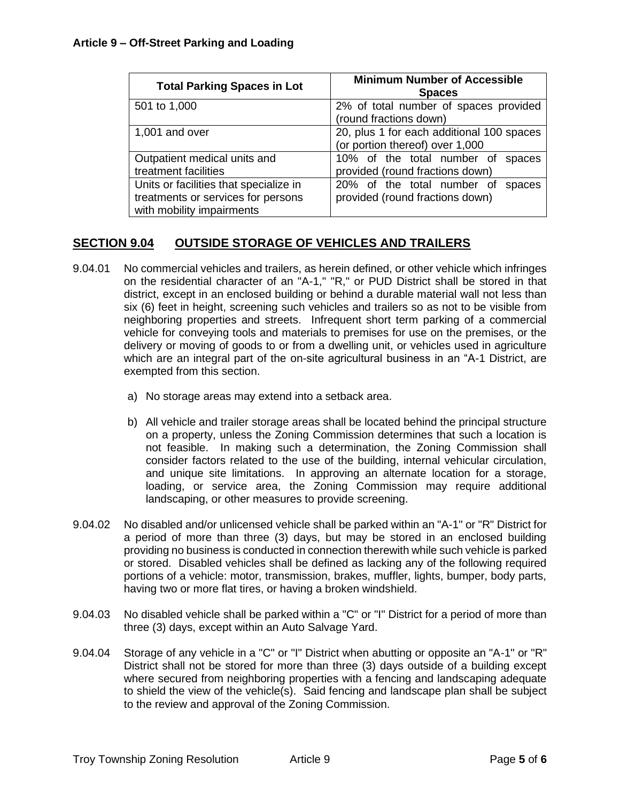| <b>Total Parking Spaces in Lot</b>     | <b>Minimum Number of Accessible</b><br><b>Spaces</b> |
|----------------------------------------|------------------------------------------------------|
| 501 to 1,000                           | 2% of total number of spaces provided                |
|                                        | (round fractions down)                               |
| 1,001 and over                         | 20, plus 1 for each additional 100 spaces            |
|                                        | (or portion thereof) over 1,000                      |
| Outpatient medical units and           | 10% of the total number of<br>spaces                 |
| treatment facilities                   | provided (round fractions down)                      |
| Units or facilities that specialize in | 20% of the total number of<br>spaces                 |
| treatments or services for persons     | provided (round fractions down)                      |
| with mobility impairments              |                                                      |

# **SECTION 9.04 OUTSIDE STORAGE OF VEHICLES AND TRAILERS**

- 9.04.01 No commercial vehicles and trailers, as herein defined, or other vehicle which infringes on the residential character of an "A-1," "R," or PUD District shall be stored in that district, except in an enclosed building or behind a durable material wall not less than six (6) feet in height, screening such vehicles and trailers so as not to be visible from neighboring properties and streets. Infrequent short term parking of a commercial vehicle for conveying tools and materials to premises for use on the premises, or the delivery or moving of goods to or from a dwelling unit, or vehicles used in agriculture which are an integral part of the on-site agricultural business in an "A-1 District, are exempted from this section.
	- a) No storage areas may extend into a setback area.
	- b) All vehicle and trailer storage areas shall be located behind the principal structure on a property, unless the Zoning Commission determines that such a location is not feasible. In making such a determination, the Zoning Commission shall consider factors related to the use of the building, internal vehicular circulation, and unique site limitations. In approving an alternate location for a storage, loading, or service area, the Zoning Commission may require additional landscaping, or other measures to provide screening.
- 9.04.02 No disabled and/or unlicensed vehicle shall be parked within an "A-1" or "R" District for a period of more than three (3) days, but may be stored in an enclosed building providing no business is conducted in connection therewith while such vehicle is parked or stored. Disabled vehicles shall be defined as lacking any of the following required portions of a vehicle: motor, transmission, brakes, muffler, lights, bumper, body parts, having two or more flat tires, or having a broken windshield.
- 9.04.03 No disabled vehicle shall be parked within a "C" or "I" District for a period of more than three (3) days, except within an Auto Salvage Yard.
- 9.04.04 Storage of any vehicle in a "C" or "I" District when abutting or opposite an "A-1" or "R" District shall not be stored for more than three (3) days outside of a building except where secured from neighboring properties with a fencing and landscaping adequate to shield the view of the vehicle(s). Said fencing and landscape plan shall be subject to the review and approval of the Zoning Commission.